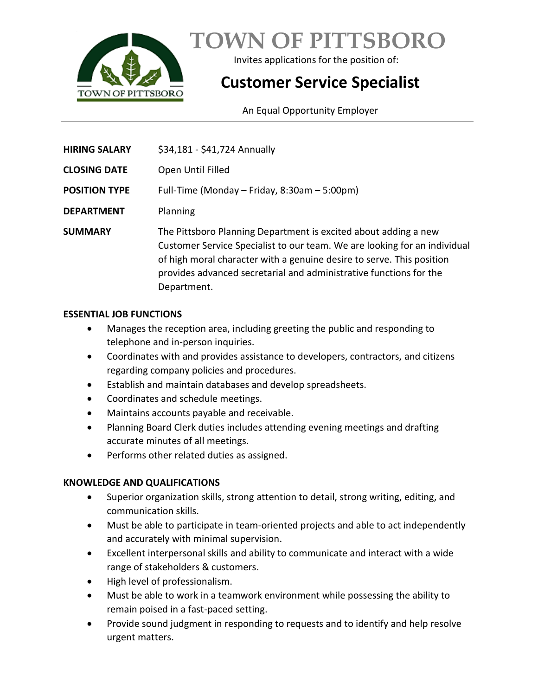

**TOWN OF PITTSBORO**

Invites applications for the position of:

# **Customer Service Specialist**

An Equal Opportunity Employer

| <b>HIRING SALARY</b> | \$34,181 - \$41,724 Annually                                                                                                                                                                                                                                                                               |
|----------------------|------------------------------------------------------------------------------------------------------------------------------------------------------------------------------------------------------------------------------------------------------------------------------------------------------------|
| <b>CLOSING DATE</b>  | Open Until Filled                                                                                                                                                                                                                                                                                          |
| <b>POSITION TYPE</b> | Full-Time (Monday – Friday, 8:30am – 5:00pm)                                                                                                                                                                                                                                                               |
| <b>DEPARTMENT</b>    | Planning                                                                                                                                                                                                                                                                                                   |
| <b>SUMMARY</b>       | The Pittsboro Planning Department is excited about adding a new<br>Customer Service Specialist to our team. We are looking for an individual<br>of high moral character with a genuine desire to serve. This position<br>provides advanced secretarial and administrative functions for the<br>Department. |

## **ESSENTIAL JOB FUNCTIONS**

- Manages the reception area, including greeting the public and responding to telephone and in-person inquiries.
- Coordinates with and provides assistance to developers, contractors, and citizens regarding company policies and procedures.
- Establish and maintain databases and develop spreadsheets.
- Coordinates and schedule meetings.
- Maintains accounts payable and receivable.
- Planning Board Clerk duties includes attending evening meetings and drafting accurate minutes of all meetings.
- Performs other related duties as assigned.

# **KNOWLEDGE AND QUALIFICATIONS**

- Superior organization skills, strong attention to detail, strong writing, editing, and communication skills.
- Must be able to participate in team-oriented projects and able to act independently and accurately with minimal supervision.
- Excellent interpersonal skills and ability to communicate and interact with a wide range of stakeholders & customers.
- High level of professionalism.
- Must be able to work in a teamwork environment while possessing the ability to remain poised in a fast-paced setting.
- Provide sound judgment in responding to requests and to identify and help resolve urgent matters.